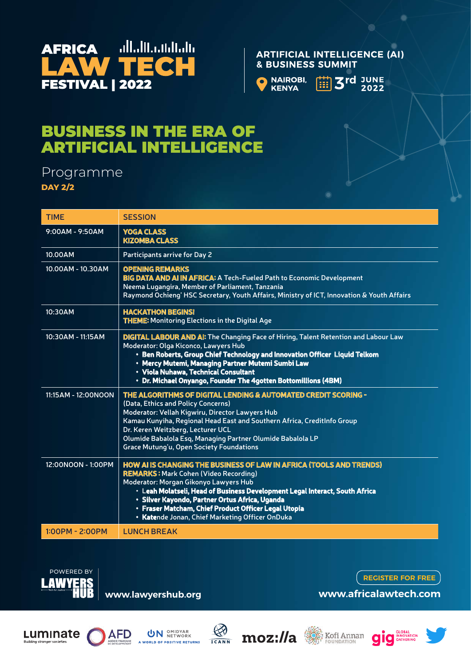

#### **ARTIFICIAL INTELLIGENCE (AI) & BUSINESS SUMMIT**



**3rd** JUNE

# BUSINESS IN THE ERA OF ARTIFICIAL INTELLIGENCE

### Programme **DAY 2/2**

| <b>TIME</b>           | <b>SESSION</b>                                                                                                                                                                                                                                                                                                                                                                                           |
|-----------------------|----------------------------------------------------------------------------------------------------------------------------------------------------------------------------------------------------------------------------------------------------------------------------------------------------------------------------------------------------------------------------------------------------------|
| 9:00AM - 9:50AM       | <b>YOGA CLASS</b><br><b>KIZOMBA CLASS</b>                                                                                                                                                                                                                                                                                                                                                                |
| 10.00AM               | <b>Participants arrive for Day 2</b>                                                                                                                                                                                                                                                                                                                                                                     |
| 10.00AM - 10.30AM     | <b>OPENING REMARKS</b><br><b>BIG DATA AND AI IN AFRICA: A Tech-Fueled Path to Economic Development</b><br>Neema Lugangira, Member of Parliament, Tanzania<br>Raymond Ochieng' HSC Secretary, Youth Affairs, Ministry of ICT, Innovation & Youth Affairs                                                                                                                                                  |
| 10:30AM               | <b>HACKATHON BEGINS!</b><br><b>THEME:</b> Monitoring Elections in the Digital Age                                                                                                                                                                                                                                                                                                                        |
| 10:30AM - 11:15AM     | <b>DIGITAL LABOUR AND AI: The Changing Face of Hiring, Talent Retention and Labour Law</b><br>Moderator: Olga Kiconco, Lawyers Hub<br>• Ben Roberts, Group Chief Technology and Innovation Officer Liquid Telkom<br>• Mercy Mutemi, Managing Partner Mutemi Sumbi Law<br>• Viola Nuhawa, Technical Consultant<br>• Dr. Michael Onyango, Founder The 4gotten Bottomillions (4BM)                          |
| 11:15 AM - 12:00 NOON | THE ALGORITHMS OF DIGITAL LENDING & AUTOMATED CREDIT SCORING -<br>(Data, Ethics and Policy Concerns)<br>Moderator: Vellah Kigwiru, Director Lawyers Hub<br>Kamau Kunyiha, Regional Head East and Southern Africa, CreditInfo Group<br>Dr. Keren Weitzberg, Lecturer UCL<br>Olumide Babalola Esq, Managing Partner Olumide Babalola LP<br>Grace Mutung'u, Open Society Foundations                        |
| 12:00NOON - 1:00PM    | HOW AI IS CHANGING THE BUSINESS OF LAW IN AFRICA (TOOLS AND TRENDS)<br><b>REMARKS: Mark Cohen (Video Recording)</b><br>Moderator: Morgan Gikonyo Lawyers Hub<br>• Leah Molatseli, Head of Business Development Legal Interact, South Africa<br>· Silver Kayondo, Partner Ortus Africa, Uganda<br>• Fraser Matcham, Chief Product Officer Legal Utopia<br>• Katende Jonan, Chief Marketing Officer OnDuka |
| $1:00PM - 2:00PM$     | <b>LUNCH BREAK</b>                                                                                                                                                                                                                                                                                                                                                                                       |
|                       |                                                                                                                                                                                                                                                                                                                                                                                                          |



**www.lawyershub.org**

**REGISTER FOR FREE**

**www.africalawtech.com**